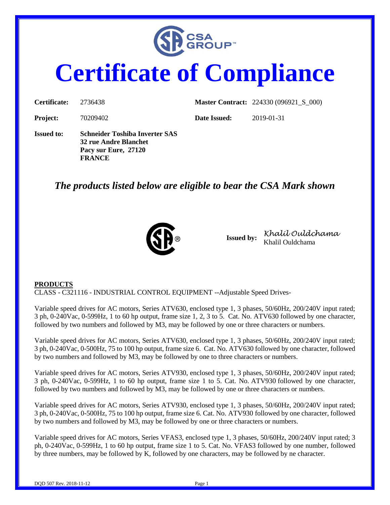

# **Certificate of Compliance**

| Certificate:      | 2736438                                                                                                 |              | <b>Master Contract:</b> 224330 (096921_S_000) |
|-------------------|---------------------------------------------------------------------------------------------------------|--------------|-----------------------------------------------|
| <b>Project:</b>   | 70209402                                                                                                | Date Issued: | 2019-01-31                                    |
| <b>Issued to:</b> | <b>Schneider Toshiba Inverter SAS</b><br>32 rue Andre Blanchet<br>Pacy sur Eure, 27120<br><b>FRANCE</b> |              |                                               |

## *The products listed below are eligible to bear the CSA Mark shown*



**Issued by:** *Khalil Ouldchama* Khalil Ouldchama

#### **PRODUCTS**

CLASS - C321116 - INDUSTRIAL CONTROL EQUIPMENT --Adjustable Speed Drives-

Variable speed drives for AC motors, Series ATV630, enclosed type 1, 3 phases, 50/60Hz, 200/240V input rated; 3 ph, 0-240Vac, 0-599Hz, 1 to 60 hp output, frame size 1, 2, 3 to 5. Cat. No. ATV630 followed by one character, followed by two numbers and followed by M3, may be followed by one or three characters or numbers.

Variable speed drives for AC motors, Series ATV630, enclosed type 1, 3 phases, 50/60Hz, 200/240V input rated; 3 ph, 0-240Vac, 0-500Hz, 75 to 100 hp output, frame size 6. Cat. No. ATV630 followed by one character, followed by two numbers and followed by M3, may be followed by one to three characters or numbers.

Variable speed drives for AC motors, Series ATV930, enclosed type 1, 3 phases, 50/60Hz, 200/240V input rated; 3 ph, 0-240Vac, 0-599Hz, 1 to 60 hp output, frame size 1 to 5. Cat. No. ATV930 followed by one character, followed by two numbers and followed by M3, may be followed by one or three characters or numbers.

Variable speed drives for AC motors, Series ATV930, enclosed type 1, 3 phases, 50/60Hz, 200/240V input rated; 3 ph, 0-240Vac, 0-500Hz, 75 to 100 hp output, frame size 6. Cat. No. ATV930 followed by one character, followed by two numbers and followed by M3, may be followed by one or three characters or numbers.

Variable speed drives for AC motors, Series VFAS3, enclosed type 1, 3 phases, 50/60Hz, 200/240V input rated; 3 ph, 0-240Vac, 0-599Hz, 1 to 60 hp output, frame size 1 to 5. Cat. No. VFAS3 followed by one number, followed by three numbers, may be followed by K, followed by one characters, may be followed by ne character.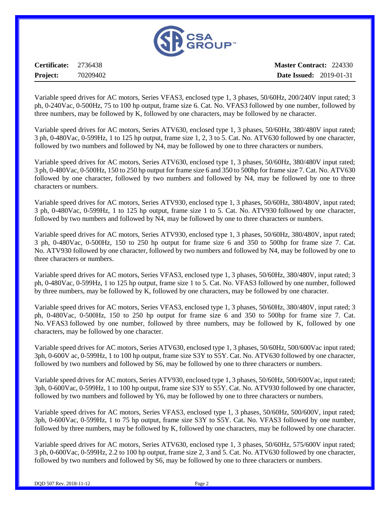

**Certificate:** 2736438 **Project:** 70209402

**Master Contract:** 224330 **Date Issued:** 2019-01-31

Variable speed drives for AC motors, Series VFAS3, enclosed type 1, 3 phases, 50/60Hz, 200/240V input rated; 3 ph, 0-240Vac, 0-500Hz, 75 to 100 hp output, frame size 6. Cat. No. VFAS3 followed by one number, followed by three numbers, may be followed by K, followed by one characters, may be followed by ne character.

Variable speed drives for AC motors, Series ATV630, enclosed type 1, 3 phases, 50/60Hz, 380/480V input rated; 3 ph, 0-480Vac, 0-599Hz, 1 to 125 hp output, frame size 1, 2, 3 to 5. Cat. No. ATV630 followed by one character, followed by two numbers and followed by N4, may be followed by one to three characters or numbers.

Variable speed drives for AC motors, Series ATV630, enclosed type 1, 3 phases, 50/60Hz, 380/480V input rated; 3 ph, 0-480Vac, 0-500Hz, 150 to 250 hp output for frame size 6 and 350 to 500hp for frame size 7. Cat. No. ATV630 followed by one character, followed by two numbers and followed by N4, may be followed by one to three characters or numbers.

Variable speed drives for AC motors, Series ATV930, enclosed type 1, 3 phases, 50/60Hz, 380/480V, input rated; 3 ph, 0-480Vac, 0-599Hz, 1 to 125 hp output, frame size 1 to 5. Cat. No. ATV930 followed by one character, followed by two numbers and followed by N4, may be followed by one to three characters or numbers.

Variable speed drives for AC motors, Series ATV930, enclosed type 1, 3 phases, 50/60Hz, 380/480V, input rated; 3 ph, 0-480Vac, 0-500Hz, 150 to 250 hp output for frame size 6 and 350 to 500hp for frame size 7. Cat. No. ATV930 followed by one character, followed by two numbers and followed by N4, may be followed by one to three characters or numbers.

Variable speed drives for AC motors, Series VFAS3, enclosed type 1, 3 phases, 50/60Hz, 380/480V, input rated; 3 ph, 0-480Vac, 0-599Hz, 1 to 125 hp output, frame size 1 to 5. Cat. No. VFAS3 followed by one number, followed by three numbers, may be followed by K, followed by one characters, may be followed by one character.

Variable speed drives for AC motors, Series VFAS3, enclosed type 1, 3 phases, 50/60Hz, 380/480V, input rated; 3 ph, 0-480Vac, 0-500Hz, 150 to 250 hp output for frame size 6 and 350 to 500hp for frame size 7. Cat. No. VFAS3 followed by one number, followed by three numbers, may be followed by K, followed by one characters, may be followed by one character.

Variable speed drives for AC motors, Series ATV630, enclosed type 1, 3 phases, 50/60Hz, 500/600Vac input rated; 3ph, 0-600V ac, 0-599Hz, 1 to 100 hp output, frame size S3Y to S5Y. Cat. No. ATV630 followed by one character, followed by two numbers and followed by S6, may be followed by one to three characters or numbers.

Variable speed drives for AC motors, Series ATV930, enclosed type 1, 3 phases, 50/60Hz, 500/600Vac, input rated; 3ph, 0-600Vac, 0-599Hz, 1 to 100 hp output, frame size S3Y to S5Y. Cat. No. ATV930 followed by one character, followed by two numbers and followed by Y6, may be followed by one to three characters or numbers.

Variable speed drives for AC motors, Series VFAS3, enclosed type 1, 3 phases, 50/60Hz, 500/600V, input rated; 3ph, 0-600Vac, 0-599Hz, 1 to 75 hp output, frame size S3Y to S5Y. Cat. No. VFAS3 followed by one number, followed by three numbers, may be followed by K, followed by one characters, may be followed by one character.

Variable speed drives for AC motors, Series ATV630, enclosed type 1, 3 phases, 50/60Hz, 575/600V input rated; 3 ph, 0-600Vac, 0-599Hz, 2.2 to 100 hp output, frame size 2, 3 and 5. Cat. No. ATV630 followed by one character, followed by two numbers and followed by S6, may be followed by one to three characters or numbers.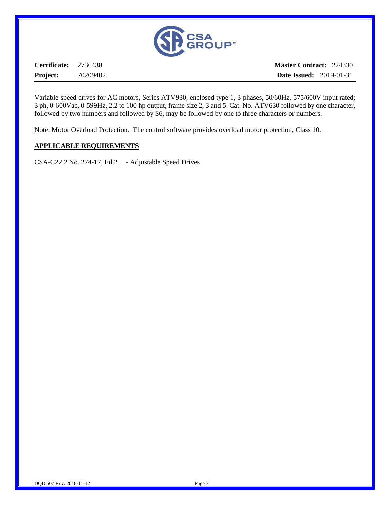

**Certificate:** 2736438 **Project:** 70209402

**Master Contract:** 224330 **Date Issued:** 2019-01-31

Variable speed drives for AC motors, Series ATV930, enclosed type 1, 3 phases, 50/60Hz, 575/600V input rated; 3 ph, 0-600Vac, 0-599Hz, 2.2 to 100 hp output, frame size 2, 3 and 5. Cat. No. ATV630 followed by one character, followed by two numbers and followed by S6, may be followed by one to three characters or numbers.

Note: Motor Overload Protection. The control software provides overload motor protection, Class 10.

#### **APPLICABLE REQUIREMENTS**

CSA-C22.2 No. 274-17, Ed.2 - Adjustable Speed Drives